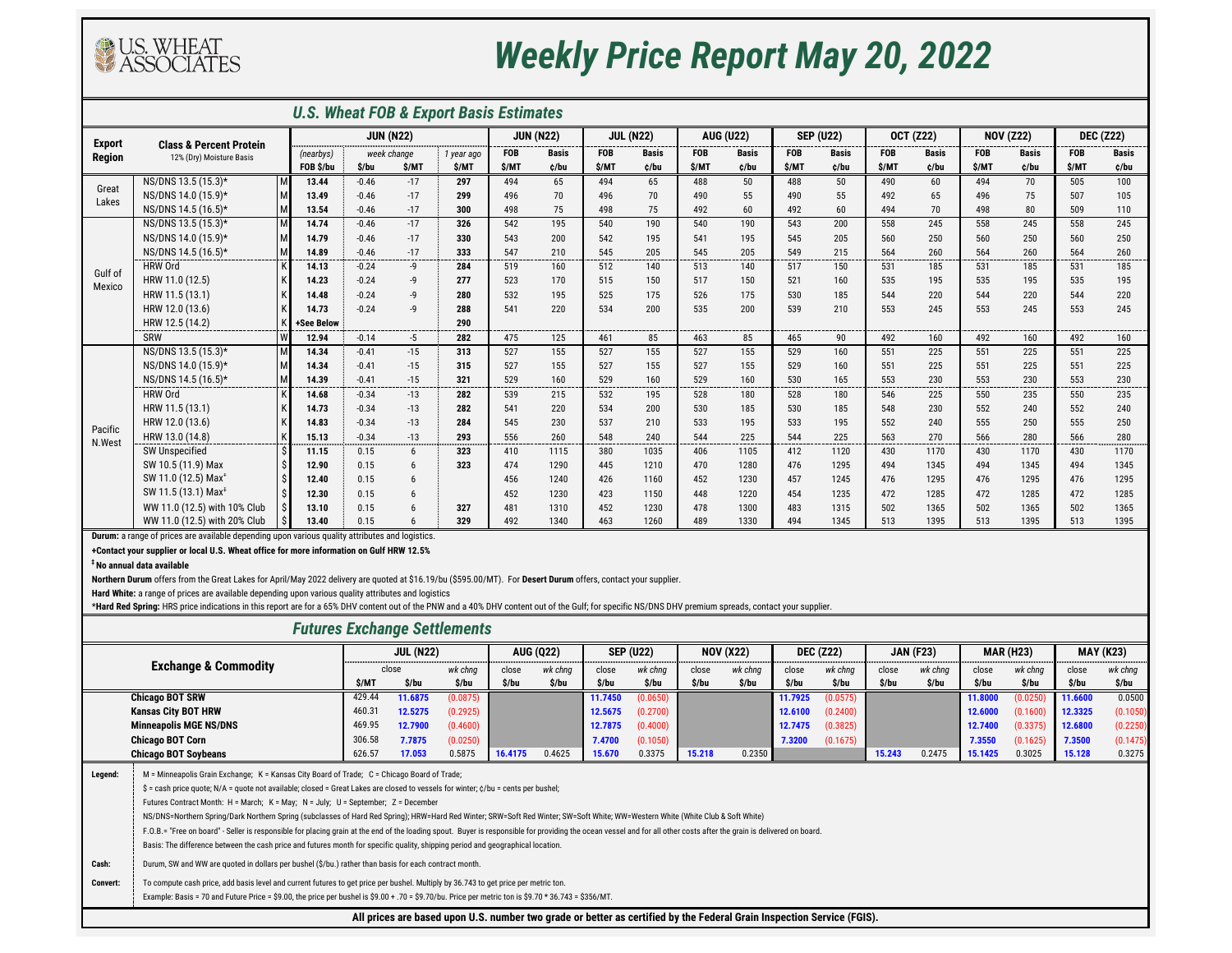*U.S. Wheat FOB & Export Basis Estimates*

**+Contact your supplier or local U.S. Wheat office for more information on Gulf HRW 12.5%**

**‡ No annual data available**

## *Futures Exchange Settlements*

|               |                                    |                  |         |                  | <b>U.S. Wheat FOB &amp; Export Basis Estimates</b> |            |              |                  |              |                  |              |                  |              |                  |              |                  |              |                  |               |
|---------------|------------------------------------|------------------|---------|------------------|----------------------------------------------------|------------|--------------|------------------|--------------|------------------|--------------|------------------|--------------|------------------|--------------|------------------|--------------|------------------|---------------|
| <b>Export</b> | <b>Class &amp; Percent Protein</b> | <b>JUN (N22)</b> |         |                  | <b>JUN (N22)</b>                                   |            |              | <b>JUL (N22)</b> |              | <b>AUG (U22)</b> |              | <b>SEP (U22)</b> |              | <b>OCT (Z22)</b> |              | <b>NOV (Z22)</b> |              | <b>DEC (Z22)</b> |               |
| <b>Region</b> | 12% (Dry) Moisture Basis           | (nearbys)        |         | week change      | 1 year ago                                         | <b>FOB</b> | <b>Basis</b> | <b>FOB</b>       | <b>Basis</b> | <b>FOB</b>       | <b>Basis</b> | <b>FOB</b>       | <b>Basis</b> | <b>FOB</b>       | <b>Basis</b> | <b>FOB</b>       | <b>Basis</b> | <b>FOB</b>       | <b>Basis</b>  |
|               |                                    | FOB \$/bu        | \$/bu   | \$/MT            | \$/MT                                              | \$/MT      | ¢/bu         | \$/MT            | ¢/bu         | \$/MT            | ¢/bu         | \$/MT            | ¢/bu         | \$/MT            | ¢/bu         | \$/MT            | c/bu         | \$/MT            | ¢/bu          |
| Great         | NS/DNS 13.5 (15.3)*                | 13.44            | $-0.46$ | $-17$            | 297                                                | 494        | 65           | 494              | 65           | 488              | 50           | 488              | 50           | 490              | 60           | 494              | 70           | 505              | 100           |
| Lakes         | NS/DNS 14.0 (15.9)*                | 13.49            | $-0.46$ | $-17$            | 299                                                | 496        | 70           | 496              | 70           | 490              | 55           | 490              | 55           | 492              | 65           | 496              | 75           | 507              | 105           |
|               | NS/DNS 14.5 (16.5)*                | 13.54            | $-0.46$ | $-17$            | 300                                                | 498        | 75           | 498              | 75           | 492              | 60           | 492              | 60           | 494              | 70           | 498              | 80           | 509              | 110           |
|               | NS/DNS 13.5 (15.3)*                | 14.74            | $-0.46$ | $-17$            | 326                                                | 542        | 195          | 540              | 190          | 540              | 190          | 543              | 200          | 558              | 245          | 558              | 245          | 558              | 245           |
|               | NS/DNS 14.0 (15.9)*                | 14.79            | $-0.46$ | $-17$            | 330                                                | 543        | 200          | 542              | 195          | 541              | 195          | 545              | 205          | 560              | 250          | 560              | 250          | 560              | 250           |
|               | NS/DNS 14.5 (16.5)*                | 14.89            | $-0.46$ | $-17$<br>-----   | 333                                                | 547        | 210          | 545              | 205          | 545              | 205          | 549              | 215          | 564              | 260          | 564              | 260<br>----  | 564              | 260<br>------ |
| Gulf of       | <b>HRW Ord</b>                     | 14.13            | $-0.24$ | -9               | 284                                                | 519        | 160          | 512              | 140          | 513              | 140          | 517              | 150          | 531              | 185          | 531              | 185          | 531              | 185           |
| Mexico        | HRW 11.0 (12.5)                    | 14.23            | $-0.24$ | -9               | 277                                                | 523        | 170          | 515              | 150          | 517              | 150          | 521              | 160          | 535              | 195          | 535              | 195          | 535              | 195           |
|               | HRW 11.5 (13.1)                    | 14.48            | $-0.24$ | $-9$             | 280                                                | 532        | 195          | 525              | 175          | 526              | 175          | 530              | 185          | 544              | 220          | 544              | 220          | 544              | 220           |
|               | HRW 12.0 (13.6)                    | 14.73            | $-0.24$ | $-9$             | 288                                                | 541        | 220          | 534              | 200          | 535              | 200          | 539              | 210          | 553              | 245          | 553              | 245          | 553              | 245           |
|               | HRW 12.5 (14.2)                    | +See Below       |         |                  | 290                                                |            |              |                  |              |                  |              |                  |              |                  |              |                  |              |                  |               |
|               | SRW<br>W                           | 12.94            | $-0.14$ | $-5$             | 282                                                | 475        | 125          | 461              | 85           | 463              | 85           | 465              | 90           | 492              | 160          | 492              | 160          | 492              | 160           |
|               | NS/DNS 13.5 (15.3)*                | 14.34            | $-0.41$ | $-15$            | 313                                                | 527        | 155          | 527              | 155          | 527              | 155          | 529              | 160          | 551              | 225          | 551              | 225          | 551              | 225           |
|               | NS/DNS 14.0 (15.9)*                | 14.34            | $-0.41$ | $-15$            | 315                                                | 527        | 155          | 527              | 155          | 527              | 155          | 529              | 160          | 551              | 225          | 551              | 225          | 551              | 225           |
|               | NS/DNS 14.5 (16.5)*                | 14.39            | $-0.41$ | $-15$            | 321                                                | 529        | 160          | 529              | 160          | 529              | 160          | 530              | 165          | 553              | 230          | 553              | 230          | 553              | 230           |
|               | <b>HRW Ord</b>                     | 14.68            | $-0.34$ | -13              | 282                                                | 539        | 215          | 532              | 195          | 528              | 180          | 528              | 180          | 546              | 225          | 550              | 235          | 550              | 235           |
|               | HRW 11.5 (13.1)                    | 14.73            | $-0.34$ | $-13$            | 282                                                | 541        | 220          | 534              | 200          | 530              | 185          | 530              | 185          | 548              | 230          | 552              | 240          | 552              | 240           |
| Pacific       | HRW 12.0 (13.6)                    | 14.83            | $-0.34$ | $-13$            | 284                                                | 545        | 230          | 537              | 210          | 533              | 195          | 533              | 195          | 552              | 240          | 555              | 250          | 555              | 250           |
| N.West        | HRW 13.0 (14.8)                    | 15.13            | $-0.34$ | $-13$            | 293                                                | 556        | 260          | 548              | 240          | 544              | 225          | 544              | 225          | 563              | 270          | 566              | 280          | 566              | 280           |
|               | <b>SW Unspecified</b>              | 11.15            | 0.15    | 6                | 323                                                | 410        | 1115         | 380              | 1035         | 406              | 1105         | 412              | 1120         | 430              | 1170         | 430              | 1170         | 430              | 1170          |
|               | SW 10.5 (11.9) Max                 | 12.90            | 0.15    | 6                | 323                                                | 474        | 1290         | 445              | 1210         | 470              | 1280         | 476              | 1295         | 494              | 1345         | 494              | 1345         | 494              | 1345          |
|               | SW 11.0 (12.5) Max <sup>+</sup>    | 12.40            | 0.15    | $6 \overline{6}$ |                                                    | 456        | 1240         | 426              | 1160         | 452              | 1230         | 457              | 1245         | 476              | 1295         | 476              | 1295         | 476              | 1295          |
|               | SW 11.5 (13.1) Max <sup>1</sup>    | 12.30            | 0.15    | 6                |                                                    | 452        | 1230         | 423              | 1150         | 448              | 1220         | 454              | 1235         | 472              | 1285         | 472              | 1285         | 472              | 1285          |
|               | WW 11.0 (12.5) with 10% Club       | 13.10            | 0.15    |                  | 327                                                | 481        | 1310         | 452              | 1230         | 478              | 1300         | 483              | 1315         | 502              | 1365         | 502              | 1365         | 502              | 1365          |
|               | WW 11.0 (12.5) with 20% Club       | 13.40            | 0.15    |                  | 329                                                | 492        | 1340         | 463              | 1260         | 489              | 1330         | 494              | 1345         | 513              | 1395         | 513              | 1395         | 513              | 1395          |

| <u>. ator oo monthly o octavimento</u> |                                                                                                                                                                                                                       |        |                  |          |         |                  |         |                  |        |                                                                                                                        |         |                  |        |                  |         |                  |         |                  |
|----------------------------------------|-----------------------------------------------------------------------------------------------------------------------------------------------------------------------------------------------------------------------|--------|------------------|----------|---------|------------------|---------|------------------|--------|------------------------------------------------------------------------------------------------------------------------|---------|------------------|--------|------------------|---------|------------------|---------|------------------|
|                                        |                                                                                                                                                                                                                       |        | <b>JUL (N22)</b> |          |         | <b>AUG (Q22)</b> |         | <b>SEP (U22)</b> |        | <b>NOV (X22)</b>                                                                                                       |         | <b>DEC (Z22)</b> |        | <b>JAN (F23)</b> |         | <b>MAR (H23)</b> |         | <b>MAY (K23)</b> |
|                                        | <b>Exchange &amp; Commodity</b>                                                                                                                                                                                       |        | close            | wk chng  | close   | wk chng          | close   | wk chng          | close  | wk chng                                                                                                                | close   | wk chng          | close  | wk chng          | close   | wk chng          | close   | wk chng          |
|                                        |                                                                                                                                                                                                                       | \$/MT  | \$/bu            | \$/bu    | \$/bu   | \$/bu            | \$/bu   | \$/bu            | \$/bu  | \$/bu                                                                                                                  | \$/bu   | \$/bu            | \$/bu  | \$/bu            | \$/bu   | \$/bu            | \$/bu   | \$/bu            |
|                                        | <b>Chicago BOT SRW</b>                                                                                                                                                                                                | 429.44 | 11.6875          | (0.0875) |         |                  | 11.7450 | (0.0650)         |        |                                                                                                                        | 11.7925 | (0.0575)         |        |                  | 11.8000 | (0.0250)         | 11.6600 | 0.0500           |
|                                        | <b>Kansas City BOT HRW</b>                                                                                                                                                                                            | 460.31 | 12.5275          | (0.2925) |         |                  | 12.5675 | (0.2700)         |        |                                                                                                                        | 12.6100 | (0.2400)         |        |                  | 12.6000 | (0.1600)         | 12.3325 | (0.1050)         |
|                                        | <b>Minneapolis MGE NS/DNS</b>                                                                                                                                                                                         | 469.95 | 12.7900          | (0.4600) |         |                  | 12.7875 | (0.4000)         |        |                                                                                                                        | 12.7475 | (0.3825)         |        |                  | 12.7400 | (0.3375)         | 12.6800 | (0.2250)         |
|                                        | <b>Chicago BOT Corn</b>                                                                                                                                                                                               | 306.58 | 7.7875           | (0.0250) |         |                  | 7.4700  | (0.1050)         |        |                                                                                                                        | 7.3200  | (0.1675)         |        |                  | 7.3550  | (0.1625)         | 7.3500  | (0.1475)         |
|                                        | <b>Chicago BOT Soybeans</b>                                                                                                                                                                                           | 626.57 | 17.053           | 0.5875   | 16.4175 | 0.4625           | 15.670  | 0.3375           | 15.218 | 0.2350                                                                                                                 |         |                  | 15.243 | 0.2475           | 15.1425 | 0.3025           | 15.128  | 0.3275           |
| Legend:                                | M = Minneapolis Grain Exchange; K = Kansas City Board of Trade; C = Chicago Board of Trade;                                                                                                                           |        |                  |          |         |                  |         |                  |        |                                                                                                                        |         |                  |        |                  |         |                  |         |                  |
|                                        | \$ = cash price quote; N/A = quote not available; closed = Great Lakes are closed to vessels for winter; $\zeta$ /bu = cents per bushel;                                                                              |        |                  |          |         |                  |         |                  |        |                                                                                                                        |         |                  |        |                  |         |                  |         |                  |
|                                        | Futures Contract Month: H = March; K = May; N = July; U = September; Z = December                                                                                                                                     |        |                  |          |         |                  |         |                  |        |                                                                                                                        |         |                  |        |                  |         |                  |         |                  |
|                                        | NS/DNS=Northern Spring/Dark Northern Spring (subclasses of Hard Red Spring); HRW=Hard Red Winter; SRW=Soft Red Winter; SW=Soft White; WW=Western White (White Club & Soft White)                                      |        |                  |          |         |                  |         |                  |        |                                                                                                                        |         |                  |        |                  |         |                  |         |                  |
|                                        | F.O.B.= "Free on board" - Seller is responsible for placing grain at the end of the loading spout. Buyer is responsible for providing the ocean vessel and for all other costs after the grain is delivered on board. |        |                  |          |         |                  |         |                  |        |                                                                                                                        |         |                  |        |                  |         |                  |         |                  |
|                                        | Basis: The difference between the cash price and futures month for specific quality, shipping period and geographical location.                                                                                       |        |                  |          |         |                  |         |                  |        |                                                                                                                        |         |                  |        |                  |         |                  |         |                  |
| Cash:                                  | Durum, SW and WW are quoted in dollars per bushel (\$/bu.) rather than basis for each contract month.                                                                                                                 |        |                  |          |         |                  |         |                  |        |                                                                                                                        |         |                  |        |                  |         |                  |         |                  |
| <b>Convert:</b>                        | To compute cash price, add basis level and current futures to get price per bushel. Multiply by 36.743 to get price per metric ton.                                                                                   |        |                  |          |         |                  |         |                  |        |                                                                                                                        |         |                  |        |                  |         |                  |         |                  |
|                                        | Example: Basis = 70 and Future Price = \$9.00, the price per bushel is \$9.00 + .70 = \$9.70/bu. Price per metric ton is \$9.70 * 36.743 = \$356/MT.                                                                  |        |                  |          |         |                  |         |                  |        |                                                                                                                        |         |                  |        |                  |         |                  |         |                  |
|                                        |                                                                                                                                                                                                                       |        |                  |          |         |                  |         |                  |        | All prices are based upon U.S. number two grade or better as certified by the Federal Grain Inspection Service (FGIS). |         |                  |        |                  |         |                  |         |                  |

**Durum:** a range of prices are available depending upon various quality attributes and logistics.



## *Weekly Price Report May 20, 2022*

**Northern Durum** offers from the Great Lakes for April/May 2022 delivery are quoted at \$16.19/bu (\$595.00/MT). For **Desert Durum** offers, contact your supplier.

**Hard White:** a range of prices are available depending upon various quality attributes and logistics

\*Hard Red Spring: HRS price indications in this report are for a 65% DHV content out of the PNW and a 40% DHV content out of the Gulf; for specific NS/DNS DHV premium spreads, contact your supplier.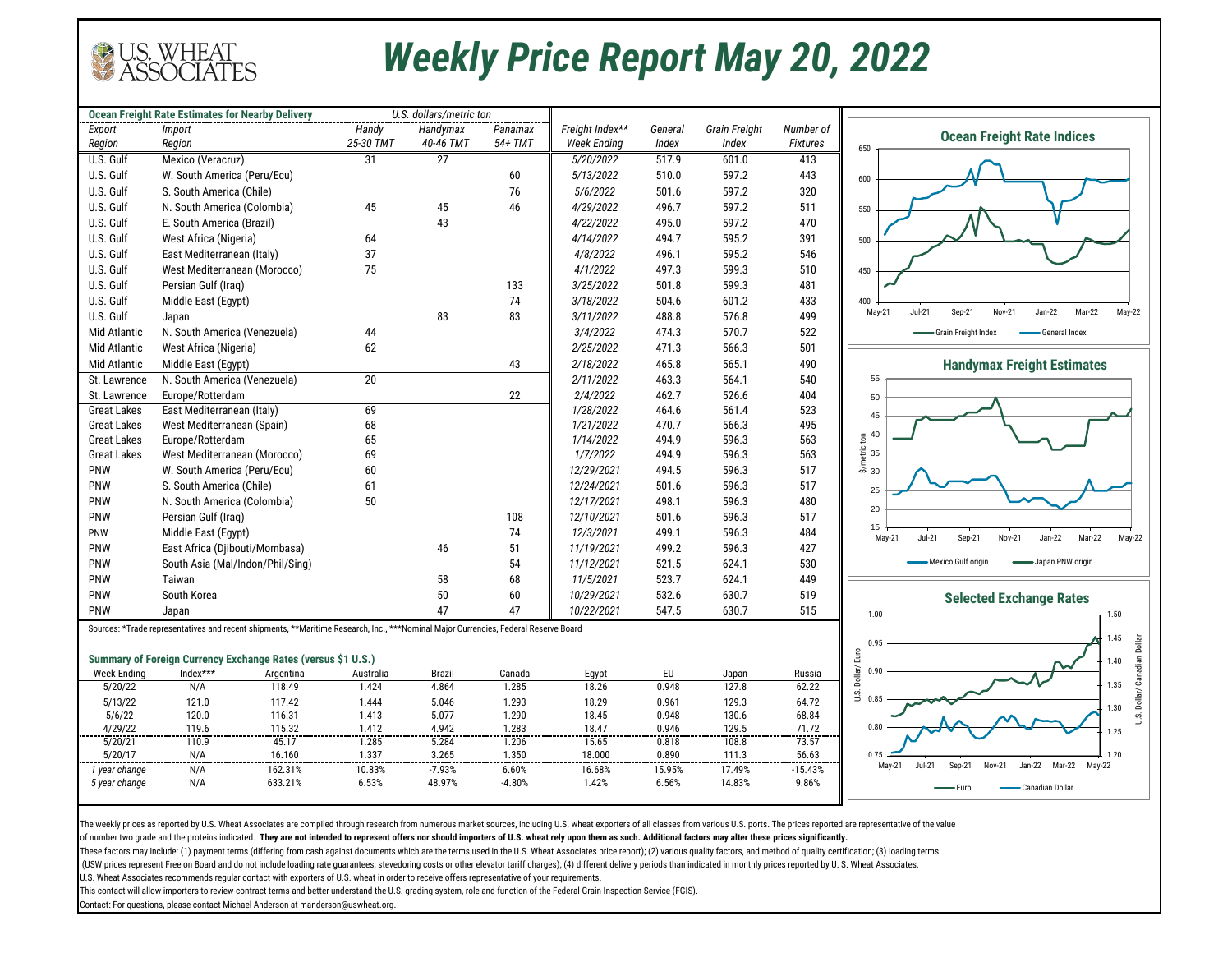The weekly prices as reported by U.S. Wheat Associates are compiled through research from numerous market sources, including U.S. wheat exporters of all classes from various U.S. ports. The prices reported are representati of number two grade and the proteins indicated. **They are not intended to represent offers nor should importers of U.S. wheat rely upon them as such. Additional factors may alter these prices significantly.** 

These factors may include: (1) payment terms (differing from cash against documents which are the terms used in the U.S. Wheat Associates price report); (2) various quality factors, and method of quality certification; (3) (USW prices represent Free on Board and do not include loading rate guarantees, stevedoring costs or other elevator tariff charges); (4) different delivery periods than indicated in monthly prices reported by U.S. Wheat As U.S. Wheat Associates recommends regular contact with exporters of U.S. wheat in order to receive offers representative of your requirements.

| Handy<br>Freight Index**<br>Export<br>Handymax<br>Panamax<br>Grain Freight<br><i>Import</i><br>General<br>25-30 TMT<br>54+ TMT<br>40-46 TMT<br><b>Week Ending</b><br>Region<br>Index<br>Index<br><b>Fixtures</b><br>Region<br>$\overline{27}$<br>U.S. Gulf<br>Mexico (Veracruz)<br>31<br>5/20/2022<br>517.9<br>601.0<br>413<br>U.S. Gulf<br>443<br>W. South America (Peru/Ecu)<br>60<br>5/13/2022<br>510.0<br>597.2<br>U.S. Gulf<br>597.2<br>320<br>S. South America (Chile)<br>76<br>501.6<br>5/6/2022<br>45<br>U.S. Gulf<br>N. South America (Colombia)<br>45<br>46<br>4/29/2022<br>496.7<br>597.2<br>511<br>U.S. Gulf<br>E. South America (Brazil)<br>43<br>495.0<br>597.2<br>470<br>4/22/2022<br>U.S. Gulf<br>West Africa (Nigeria)<br>595.2<br>391<br>64<br>4/14/2022<br>494.7<br>37<br>U.S. Gulf<br>East Mediterranean (Italy)<br>4/8/2022<br>496.1<br>595.2<br>546<br>75<br>U.S. Gulf<br>West Mediterranean (Morocco)<br>497.3<br>599.3<br>4/1/2022<br>510<br>U.S. Gulf<br>Persian Gulf (Iraq)<br>133<br>501.8<br>599.3<br>481<br>3/25/2022<br>U.S. Gulf<br>74<br>504.6<br>601.2<br>433<br>Middle East (Egypt)<br>3/18/2022<br>U.S. Gulf<br>83<br>83<br>3/11/2022<br>488.8<br>576.8<br>499<br>Japan<br><b>Mid Atlantic</b><br>N. South America (Venezuela)<br>44<br>474.3<br>570.7<br>3/4/2022<br>522<br>62<br>471.3<br>566.3<br><b>Mid Atlantic</b><br>West Africa (Nigeria)<br>2/25/2022<br>501<br><b>Mid Atlantic</b><br>465.8<br>565.1<br>490<br>Middle East (Egypt)<br>43<br>2/18/2022<br>$20\,$<br>N. South America (Venezuela)<br>564.1<br>2/11/2022<br>463.3<br>540<br>St. Lawrence<br>Europe/Rotterdam<br>22<br>2/4/2022<br>462.7<br>526.6<br>St. Lawrence<br>404<br>69<br>East Mediterranean (Italy)<br>523<br><b>Great Lakes</b><br>1/28/2022<br>464.6<br>561.4<br>68<br>566.3<br>495<br><b>Great Lakes</b><br>West Mediterranean (Spain)<br>1/21/2022<br>470.7<br>596.3<br>563<br><b>Great Lakes</b><br>Europe/Rotterdam<br>65<br>1/14/2022<br>494.9<br>West Mediterranean (Morocco)<br>69<br>596.3<br>563<br><b>Great Lakes</b><br>1/7/2022<br>494.9<br>60<br>517<br><b>PNW</b><br>W. South America (Peru/Ecu)<br>494.5<br>596.3<br>12/29/2021<br>S. South America (Chile)<br>596.3<br>517<br><b>PNW</b><br>12/24/2021<br>501.6<br>61<br>$50\,$<br>PNW<br>596.3<br>N. South America (Colombia)<br>12/17/2021<br>498.1<br>480<br>Persian Gulf (Iraq)<br>108<br>596.3<br><b>PNW</b><br>12/10/2021<br>501.6<br>517<br>74<br>596.3<br>Middle East (Egypt)<br>12/3/2021<br>499.1<br>484<br><b>PNW</b><br><b>PNW</b><br>East Africa (Djibouti/Mombasa)<br>499.2<br>596.3<br>427<br>46<br>51<br>11/19/2021<br>South Asia (Mal/Indon/Phil/Sing)<br>54<br>11/12/2021<br>521.5<br>624.1<br>530<br>PNW<br>58<br>68<br>523.7<br>449<br><b>PNW</b><br>11/5/2021<br>624.1<br>Taiwan<br>50<br><b>PNW</b><br>South Korea<br>60<br>532.6<br>630.7<br>519<br>10/29/2021<br>547.5<br><b>PNW</b><br>47<br>47<br>630.7<br>515<br>10/22/2021<br>Japan<br>Sources: *Trade representatives and recent shipments, **Maritime Research, Inc., ***Nominal Major Currencies, Federal Reserve Board<br><b>Summary of Foreign Currency Exchange Rates (versus \$1 U.S.)</b><br>Index***<br>EU<br><b>Week Ending</b><br>Argentina<br>Australia<br>Brazil<br>Canada<br>Egypt<br>Russia<br>Japan<br>118.49<br>1.424<br>18.26<br>5/20/22<br>N/A<br>4.864<br>1.285<br>0.948<br>127.8<br>62.22<br>18.29<br>5/13/22<br>121.0<br>117.42<br>1.444<br>5.046<br>1.293<br>0.961<br>129.3<br>64.72<br>5/6/22<br>120.0<br>116.31<br>1.413<br>5.077<br>18.45<br>0.948<br>1.290<br>130.6<br>68.84<br>4/29/22<br>115.32<br>1.412<br>18.47<br>129.5<br>119.6<br>4.942<br>1.283<br>0.946<br>71.72<br>45.17<br>1.285<br>5/20/21<br>110.9<br>5.284<br>1.206<br>15.65<br>0.818<br>108.8<br>73.57<br>5/20/17<br>N/A<br>16.160<br>1.337<br>3.265<br>1.350<br>18.000<br>56.63<br>0.890<br>111.3<br>N/A<br>162.31%<br>10.83%<br>$-7.93%$<br>16.68%<br>17.49%<br>1 year change<br>6.60%<br>15.95%<br>$-15.43%$<br>633.21%<br>6.53%<br>48.97%<br>1.42%<br>5 year change<br>N/A<br>$-4.80%$<br>6.56%<br>14.83%<br>9.86% | <b>Ocean Freight Rate Estimates for Nearby Delivery</b> |  | U.S. dollars/metric ton |  |           |  |
|----------------------------------------------------------------------------------------------------------------------------------------------------------------------------------------------------------------------------------------------------------------------------------------------------------------------------------------------------------------------------------------------------------------------------------------------------------------------------------------------------------------------------------------------------------------------------------------------------------------------------------------------------------------------------------------------------------------------------------------------------------------------------------------------------------------------------------------------------------------------------------------------------------------------------------------------------------------------------------------------------------------------------------------------------------------------------------------------------------------------------------------------------------------------------------------------------------------------------------------------------------------------------------------------------------------------------------------------------------------------------------------------------------------------------------------------------------------------------------------------------------------------------------------------------------------------------------------------------------------------------------------------------------------------------------------------------------------------------------------------------------------------------------------------------------------------------------------------------------------------------------------------------------------------------------------------------------------------------------------------------------------------------------------------------------------------------------------------------------------------------------------------------------------------------------------------------------------------------------------------------------------------------------------------------------------------------------------------------------------------------------------------------------------------------------------------------------------------------------------------------------------------------------------------------------------------------------------------------------------------------------------------------------------------------------------------------------------------------------------------------------------------------------------------------------------------------------------------------------------------------------------------------------------------------------------------------------------------------------------------------------------------------------------------------------------------------------------------------------------------------------------------------------------------------------------------------------------------------------------------------------------------------------------------------------------------------------------------------------------------------------------------------------------------------------------------------------------------------------------------------------------------------------------------------------------------------------------------------------------------------------------------------------------------------------------------------------------------------------------------------------------------------------------------------------------------------------------------------------------------------------------------------------------------------------------------------------------------------------------------------------------------------------------------------------------------------------|---------------------------------------------------------|--|-------------------------|--|-----------|--|
|                                                                                                                                                                                                                                                                                                                                                                                                                                                                                                                                                                                                                                                                                                                                                                                                                                                                                                                                                                                                                                                                                                                                                                                                                                                                                                                                                                                                                                                                                                                                                                                                                                                                                                                                                                                                                                                                                                                                                                                                                                                                                                                                                                                                                                                                                                                                                                                                                                                                                                                                                                                                                                                                                                                                                                                                                                                                                                                                                                                                                                                                                                                                                                                                                                                                                                                                                                                                                                                                                                                                                                                                                                                                                                                                                                                                                                                                                                                                                                                                                                                                                  |                                                         |  |                         |  | Number of |  |
|                                                                                                                                                                                                                                                                                                                                                                                                                                                                                                                                                                                                                                                                                                                                                                                                                                                                                                                                                                                                                                                                                                                                                                                                                                                                                                                                                                                                                                                                                                                                                                                                                                                                                                                                                                                                                                                                                                                                                                                                                                                                                                                                                                                                                                                                                                                                                                                                                                                                                                                                                                                                                                                                                                                                                                                                                                                                                                                                                                                                                                                                                                                                                                                                                                                                                                                                                                                                                                                                                                                                                                                                                                                                                                                                                                                                                                                                                                                                                                                                                                                                                  |                                                         |  |                         |  |           |  |
|                                                                                                                                                                                                                                                                                                                                                                                                                                                                                                                                                                                                                                                                                                                                                                                                                                                                                                                                                                                                                                                                                                                                                                                                                                                                                                                                                                                                                                                                                                                                                                                                                                                                                                                                                                                                                                                                                                                                                                                                                                                                                                                                                                                                                                                                                                                                                                                                                                                                                                                                                                                                                                                                                                                                                                                                                                                                                                                                                                                                                                                                                                                                                                                                                                                                                                                                                                                                                                                                                                                                                                                                                                                                                                                                                                                                                                                                                                                                                                                                                                                                                  |                                                         |  |                         |  |           |  |
|                                                                                                                                                                                                                                                                                                                                                                                                                                                                                                                                                                                                                                                                                                                                                                                                                                                                                                                                                                                                                                                                                                                                                                                                                                                                                                                                                                                                                                                                                                                                                                                                                                                                                                                                                                                                                                                                                                                                                                                                                                                                                                                                                                                                                                                                                                                                                                                                                                                                                                                                                                                                                                                                                                                                                                                                                                                                                                                                                                                                                                                                                                                                                                                                                                                                                                                                                                                                                                                                                                                                                                                                                                                                                                                                                                                                                                                                                                                                                                                                                                                                                  |                                                         |  |                         |  |           |  |
|                                                                                                                                                                                                                                                                                                                                                                                                                                                                                                                                                                                                                                                                                                                                                                                                                                                                                                                                                                                                                                                                                                                                                                                                                                                                                                                                                                                                                                                                                                                                                                                                                                                                                                                                                                                                                                                                                                                                                                                                                                                                                                                                                                                                                                                                                                                                                                                                                                                                                                                                                                                                                                                                                                                                                                                                                                                                                                                                                                                                                                                                                                                                                                                                                                                                                                                                                                                                                                                                                                                                                                                                                                                                                                                                                                                                                                                                                                                                                                                                                                                                                  |                                                         |  |                         |  |           |  |
|                                                                                                                                                                                                                                                                                                                                                                                                                                                                                                                                                                                                                                                                                                                                                                                                                                                                                                                                                                                                                                                                                                                                                                                                                                                                                                                                                                                                                                                                                                                                                                                                                                                                                                                                                                                                                                                                                                                                                                                                                                                                                                                                                                                                                                                                                                                                                                                                                                                                                                                                                                                                                                                                                                                                                                                                                                                                                                                                                                                                                                                                                                                                                                                                                                                                                                                                                                                                                                                                                                                                                                                                                                                                                                                                                                                                                                                                                                                                                                                                                                                                                  |                                                         |  |                         |  |           |  |
|                                                                                                                                                                                                                                                                                                                                                                                                                                                                                                                                                                                                                                                                                                                                                                                                                                                                                                                                                                                                                                                                                                                                                                                                                                                                                                                                                                                                                                                                                                                                                                                                                                                                                                                                                                                                                                                                                                                                                                                                                                                                                                                                                                                                                                                                                                                                                                                                                                                                                                                                                                                                                                                                                                                                                                                                                                                                                                                                                                                                                                                                                                                                                                                                                                                                                                                                                                                                                                                                                                                                                                                                                                                                                                                                                                                                                                                                                                                                                                                                                                                                                  |                                                         |  |                         |  |           |  |
|                                                                                                                                                                                                                                                                                                                                                                                                                                                                                                                                                                                                                                                                                                                                                                                                                                                                                                                                                                                                                                                                                                                                                                                                                                                                                                                                                                                                                                                                                                                                                                                                                                                                                                                                                                                                                                                                                                                                                                                                                                                                                                                                                                                                                                                                                                                                                                                                                                                                                                                                                                                                                                                                                                                                                                                                                                                                                                                                                                                                                                                                                                                                                                                                                                                                                                                                                                                                                                                                                                                                                                                                                                                                                                                                                                                                                                                                                                                                                                                                                                                                                  |                                                         |  |                         |  |           |  |
|                                                                                                                                                                                                                                                                                                                                                                                                                                                                                                                                                                                                                                                                                                                                                                                                                                                                                                                                                                                                                                                                                                                                                                                                                                                                                                                                                                                                                                                                                                                                                                                                                                                                                                                                                                                                                                                                                                                                                                                                                                                                                                                                                                                                                                                                                                                                                                                                                                                                                                                                                                                                                                                                                                                                                                                                                                                                                                                                                                                                                                                                                                                                                                                                                                                                                                                                                                                                                                                                                                                                                                                                                                                                                                                                                                                                                                                                                                                                                                                                                                                                                  |                                                         |  |                         |  |           |  |
|                                                                                                                                                                                                                                                                                                                                                                                                                                                                                                                                                                                                                                                                                                                                                                                                                                                                                                                                                                                                                                                                                                                                                                                                                                                                                                                                                                                                                                                                                                                                                                                                                                                                                                                                                                                                                                                                                                                                                                                                                                                                                                                                                                                                                                                                                                                                                                                                                                                                                                                                                                                                                                                                                                                                                                                                                                                                                                                                                                                                                                                                                                                                                                                                                                                                                                                                                                                                                                                                                                                                                                                                                                                                                                                                                                                                                                                                                                                                                                                                                                                                                  |                                                         |  |                         |  |           |  |
|                                                                                                                                                                                                                                                                                                                                                                                                                                                                                                                                                                                                                                                                                                                                                                                                                                                                                                                                                                                                                                                                                                                                                                                                                                                                                                                                                                                                                                                                                                                                                                                                                                                                                                                                                                                                                                                                                                                                                                                                                                                                                                                                                                                                                                                                                                                                                                                                                                                                                                                                                                                                                                                                                                                                                                                                                                                                                                                                                                                                                                                                                                                                                                                                                                                                                                                                                                                                                                                                                                                                                                                                                                                                                                                                                                                                                                                                                                                                                                                                                                                                                  |                                                         |  |                         |  |           |  |
|                                                                                                                                                                                                                                                                                                                                                                                                                                                                                                                                                                                                                                                                                                                                                                                                                                                                                                                                                                                                                                                                                                                                                                                                                                                                                                                                                                                                                                                                                                                                                                                                                                                                                                                                                                                                                                                                                                                                                                                                                                                                                                                                                                                                                                                                                                                                                                                                                                                                                                                                                                                                                                                                                                                                                                                                                                                                                                                                                                                                                                                                                                                                                                                                                                                                                                                                                                                                                                                                                                                                                                                                                                                                                                                                                                                                                                                                                                                                                                                                                                                                                  |                                                         |  |                         |  |           |  |
|                                                                                                                                                                                                                                                                                                                                                                                                                                                                                                                                                                                                                                                                                                                                                                                                                                                                                                                                                                                                                                                                                                                                                                                                                                                                                                                                                                                                                                                                                                                                                                                                                                                                                                                                                                                                                                                                                                                                                                                                                                                                                                                                                                                                                                                                                                                                                                                                                                                                                                                                                                                                                                                                                                                                                                                                                                                                                                                                                                                                                                                                                                                                                                                                                                                                                                                                                                                                                                                                                                                                                                                                                                                                                                                                                                                                                                                                                                                                                                                                                                                                                  |                                                         |  |                         |  |           |  |
|                                                                                                                                                                                                                                                                                                                                                                                                                                                                                                                                                                                                                                                                                                                                                                                                                                                                                                                                                                                                                                                                                                                                                                                                                                                                                                                                                                                                                                                                                                                                                                                                                                                                                                                                                                                                                                                                                                                                                                                                                                                                                                                                                                                                                                                                                                                                                                                                                                                                                                                                                                                                                                                                                                                                                                                                                                                                                                                                                                                                                                                                                                                                                                                                                                                                                                                                                                                                                                                                                                                                                                                                                                                                                                                                                                                                                                                                                                                                                                                                                                                                                  |                                                         |  |                         |  |           |  |
|                                                                                                                                                                                                                                                                                                                                                                                                                                                                                                                                                                                                                                                                                                                                                                                                                                                                                                                                                                                                                                                                                                                                                                                                                                                                                                                                                                                                                                                                                                                                                                                                                                                                                                                                                                                                                                                                                                                                                                                                                                                                                                                                                                                                                                                                                                                                                                                                                                                                                                                                                                                                                                                                                                                                                                                                                                                                                                                                                                                                                                                                                                                                                                                                                                                                                                                                                                                                                                                                                                                                                                                                                                                                                                                                                                                                                                                                                                                                                                                                                                                                                  |                                                         |  |                         |  |           |  |
|                                                                                                                                                                                                                                                                                                                                                                                                                                                                                                                                                                                                                                                                                                                                                                                                                                                                                                                                                                                                                                                                                                                                                                                                                                                                                                                                                                                                                                                                                                                                                                                                                                                                                                                                                                                                                                                                                                                                                                                                                                                                                                                                                                                                                                                                                                                                                                                                                                                                                                                                                                                                                                                                                                                                                                                                                                                                                                                                                                                                                                                                                                                                                                                                                                                                                                                                                                                                                                                                                                                                                                                                                                                                                                                                                                                                                                                                                                                                                                                                                                                                                  |                                                         |  |                         |  |           |  |
|                                                                                                                                                                                                                                                                                                                                                                                                                                                                                                                                                                                                                                                                                                                                                                                                                                                                                                                                                                                                                                                                                                                                                                                                                                                                                                                                                                                                                                                                                                                                                                                                                                                                                                                                                                                                                                                                                                                                                                                                                                                                                                                                                                                                                                                                                                                                                                                                                                                                                                                                                                                                                                                                                                                                                                                                                                                                                                                                                                                                                                                                                                                                                                                                                                                                                                                                                                                                                                                                                                                                                                                                                                                                                                                                                                                                                                                                                                                                                                                                                                                                                  |                                                         |  |                         |  |           |  |
|                                                                                                                                                                                                                                                                                                                                                                                                                                                                                                                                                                                                                                                                                                                                                                                                                                                                                                                                                                                                                                                                                                                                                                                                                                                                                                                                                                                                                                                                                                                                                                                                                                                                                                                                                                                                                                                                                                                                                                                                                                                                                                                                                                                                                                                                                                                                                                                                                                                                                                                                                                                                                                                                                                                                                                                                                                                                                                                                                                                                                                                                                                                                                                                                                                                                                                                                                                                                                                                                                                                                                                                                                                                                                                                                                                                                                                                                                                                                                                                                                                                                                  |                                                         |  |                         |  |           |  |
|                                                                                                                                                                                                                                                                                                                                                                                                                                                                                                                                                                                                                                                                                                                                                                                                                                                                                                                                                                                                                                                                                                                                                                                                                                                                                                                                                                                                                                                                                                                                                                                                                                                                                                                                                                                                                                                                                                                                                                                                                                                                                                                                                                                                                                                                                                                                                                                                                                                                                                                                                                                                                                                                                                                                                                                                                                                                                                                                                                                                                                                                                                                                                                                                                                                                                                                                                                                                                                                                                                                                                                                                                                                                                                                                                                                                                                                                                                                                                                                                                                                                                  |                                                         |  |                         |  |           |  |
|                                                                                                                                                                                                                                                                                                                                                                                                                                                                                                                                                                                                                                                                                                                                                                                                                                                                                                                                                                                                                                                                                                                                                                                                                                                                                                                                                                                                                                                                                                                                                                                                                                                                                                                                                                                                                                                                                                                                                                                                                                                                                                                                                                                                                                                                                                                                                                                                                                                                                                                                                                                                                                                                                                                                                                                                                                                                                                                                                                                                                                                                                                                                                                                                                                                                                                                                                                                                                                                                                                                                                                                                                                                                                                                                                                                                                                                                                                                                                                                                                                                                                  |                                                         |  |                         |  |           |  |
|                                                                                                                                                                                                                                                                                                                                                                                                                                                                                                                                                                                                                                                                                                                                                                                                                                                                                                                                                                                                                                                                                                                                                                                                                                                                                                                                                                                                                                                                                                                                                                                                                                                                                                                                                                                                                                                                                                                                                                                                                                                                                                                                                                                                                                                                                                                                                                                                                                                                                                                                                                                                                                                                                                                                                                                                                                                                                                                                                                                                                                                                                                                                                                                                                                                                                                                                                                                                                                                                                                                                                                                                                                                                                                                                                                                                                                                                                                                                                                                                                                                                                  |                                                         |  |                         |  |           |  |
|                                                                                                                                                                                                                                                                                                                                                                                                                                                                                                                                                                                                                                                                                                                                                                                                                                                                                                                                                                                                                                                                                                                                                                                                                                                                                                                                                                                                                                                                                                                                                                                                                                                                                                                                                                                                                                                                                                                                                                                                                                                                                                                                                                                                                                                                                                                                                                                                                                                                                                                                                                                                                                                                                                                                                                                                                                                                                                                                                                                                                                                                                                                                                                                                                                                                                                                                                                                                                                                                                                                                                                                                                                                                                                                                                                                                                                                                                                                                                                                                                                                                                  |                                                         |  |                         |  |           |  |
|                                                                                                                                                                                                                                                                                                                                                                                                                                                                                                                                                                                                                                                                                                                                                                                                                                                                                                                                                                                                                                                                                                                                                                                                                                                                                                                                                                                                                                                                                                                                                                                                                                                                                                                                                                                                                                                                                                                                                                                                                                                                                                                                                                                                                                                                                                                                                                                                                                                                                                                                                                                                                                                                                                                                                                                                                                                                                                                                                                                                                                                                                                                                                                                                                                                                                                                                                                                                                                                                                                                                                                                                                                                                                                                                                                                                                                                                                                                                                                                                                                                                                  |                                                         |  |                         |  |           |  |
|                                                                                                                                                                                                                                                                                                                                                                                                                                                                                                                                                                                                                                                                                                                                                                                                                                                                                                                                                                                                                                                                                                                                                                                                                                                                                                                                                                                                                                                                                                                                                                                                                                                                                                                                                                                                                                                                                                                                                                                                                                                                                                                                                                                                                                                                                                                                                                                                                                                                                                                                                                                                                                                                                                                                                                                                                                                                                                                                                                                                                                                                                                                                                                                                                                                                                                                                                                                                                                                                                                                                                                                                                                                                                                                                                                                                                                                                                                                                                                                                                                                                                  |                                                         |  |                         |  |           |  |
|                                                                                                                                                                                                                                                                                                                                                                                                                                                                                                                                                                                                                                                                                                                                                                                                                                                                                                                                                                                                                                                                                                                                                                                                                                                                                                                                                                                                                                                                                                                                                                                                                                                                                                                                                                                                                                                                                                                                                                                                                                                                                                                                                                                                                                                                                                                                                                                                                                                                                                                                                                                                                                                                                                                                                                                                                                                                                                                                                                                                                                                                                                                                                                                                                                                                                                                                                                                                                                                                                                                                                                                                                                                                                                                                                                                                                                                                                                                                                                                                                                                                                  |                                                         |  |                         |  |           |  |
|                                                                                                                                                                                                                                                                                                                                                                                                                                                                                                                                                                                                                                                                                                                                                                                                                                                                                                                                                                                                                                                                                                                                                                                                                                                                                                                                                                                                                                                                                                                                                                                                                                                                                                                                                                                                                                                                                                                                                                                                                                                                                                                                                                                                                                                                                                                                                                                                                                                                                                                                                                                                                                                                                                                                                                                                                                                                                                                                                                                                                                                                                                                                                                                                                                                                                                                                                                                                                                                                                                                                                                                                                                                                                                                                                                                                                                                                                                                                                                                                                                                                                  |                                                         |  |                         |  |           |  |
|                                                                                                                                                                                                                                                                                                                                                                                                                                                                                                                                                                                                                                                                                                                                                                                                                                                                                                                                                                                                                                                                                                                                                                                                                                                                                                                                                                                                                                                                                                                                                                                                                                                                                                                                                                                                                                                                                                                                                                                                                                                                                                                                                                                                                                                                                                                                                                                                                                                                                                                                                                                                                                                                                                                                                                                                                                                                                                                                                                                                                                                                                                                                                                                                                                                                                                                                                                                                                                                                                                                                                                                                                                                                                                                                                                                                                                                                                                                                                                                                                                                                                  |                                                         |  |                         |  |           |  |
|                                                                                                                                                                                                                                                                                                                                                                                                                                                                                                                                                                                                                                                                                                                                                                                                                                                                                                                                                                                                                                                                                                                                                                                                                                                                                                                                                                                                                                                                                                                                                                                                                                                                                                                                                                                                                                                                                                                                                                                                                                                                                                                                                                                                                                                                                                                                                                                                                                                                                                                                                                                                                                                                                                                                                                                                                                                                                                                                                                                                                                                                                                                                                                                                                                                                                                                                                                                                                                                                                                                                                                                                                                                                                                                                                                                                                                                                                                                                                                                                                                                                                  |                                                         |  |                         |  |           |  |
|                                                                                                                                                                                                                                                                                                                                                                                                                                                                                                                                                                                                                                                                                                                                                                                                                                                                                                                                                                                                                                                                                                                                                                                                                                                                                                                                                                                                                                                                                                                                                                                                                                                                                                                                                                                                                                                                                                                                                                                                                                                                                                                                                                                                                                                                                                                                                                                                                                                                                                                                                                                                                                                                                                                                                                                                                                                                                                                                                                                                                                                                                                                                                                                                                                                                                                                                                                                                                                                                                                                                                                                                                                                                                                                                                                                                                                                                                                                                                                                                                                                                                  |                                                         |  |                         |  |           |  |
|                                                                                                                                                                                                                                                                                                                                                                                                                                                                                                                                                                                                                                                                                                                                                                                                                                                                                                                                                                                                                                                                                                                                                                                                                                                                                                                                                                                                                                                                                                                                                                                                                                                                                                                                                                                                                                                                                                                                                                                                                                                                                                                                                                                                                                                                                                                                                                                                                                                                                                                                                                                                                                                                                                                                                                                                                                                                                                                                                                                                                                                                                                                                                                                                                                                                                                                                                                                                                                                                                                                                                                                                                                                                                                                                                                                                                                                                                                                                                                                                                                                                                  |                                                         |  |                         |  |           |  |
|                                                                                                                                                                                                                                                                                                                                                                                                                                                                                                                                                                                                                                                                                                                                                                                                                                                                                                                                                                                                                                                                                                                                                                                                                                                                                                                                                                                                                                                                                                                                                                                                                                                                                                                                                                                                                                                                                                                                                                                                                                                                                                                                                                                                                                                                                                                                                                                                                                                                                                                                                                                                                                                                                                                                                                                                                                                                                                                                                                                                                                                                                                                                                                                                                                                                                                                                                                                                                                                                                                                                                                                                                                                                                                                                                                                                                                                                                                                                                                                                                                                                                  |                                                         |  |                         |  |           |  |
|                                                                                                                                                                                                                                                                                                                                                                                                                                                                                                                                                                                                                                                                                                                                                                                                                                                                                                                                                                                                                                                                                                                                                                                                                                                                                                                                                                                                                                                                                                                                                                                                                                                                                                                                                                                                                                                                                                                                                                                                                                                                                                                                                                                                                                                                                                                                                                                                                                                                                                                                                                                                                                                                                                                                                                                                                                                                                                                                                                                                                                                                                                                                                                                                                                                                                                                                                                                                                                                                                                                                                                                                                                                                                                                                                                                                                                                                                                                                                                                                                                                                                  |                                                         |  |                         |  |           |  |
|                                                                                                                                                                                                                                                                                                                                                                                                                                                                                                                                                                                                                                                                                                                                                                                                                                                                                                                                                                                                                                                                                                                                                                                                                                                                                                                                                                                                                                                                                                                                                                                                                                                                                                                                                                                                                                                                                                                                                                                                                                                                                                                                                                                                                                                                                                                                                                                                                                                                                                                                                                                                                                                                                                                                                                                                                                                                                                                                                                                                                                                                                                                                                                                                                                                                                                                                                                                                                                                                                                                                                                                                                                                                                                                                                                                                                                                                                                                                                                                                                                                                                  |                                                         |  |                         |  |           |  |
|                                                                                                                                                                                                                                                                                                                                                                                                                                                                                                                                                                                                                                                                                                                                                                                                                                                                                                                                                                                                                                                                                                                                                                                                                                                                                                                                                                                                                                                                                                                                                                                                                                                                                                                                                                                                                                                                                                                                                                                                                                                                                                                                                                                                                                                                                                                                                                                                                                                                                                                                                                                                                                                                                                                                                                                                                                                                                                                                                                                                                                                                                                                                                                                                                                                                                                                                                                                                                                                                                                                                                                                                                                                                                                                                                                                                                                                                                                                                                                                                                                                                                  |                                                         |  |                         |  |           |  |
|                                                                                                                                                                                                                                                                                                                                                                                                                                                                                                                                                                                                                                                                                                                                                                                                                                                                                                                                                                                                                                                                                                                                                                                                                                                                                                                                                                                                                                                                                                                                                                                                                                                                                                                                                                                                                                                                                                                                                                                                                                                                                                                                                                                                                                                                                                                                                                                                                                                                                                                                                                                                                                                                                                                                                                                                                                                                                                                                                                                                                                                                                                                                                                                                                                                                                                                                                                                                                                                                                                                                                                                                                                                                                                                                                                                                                                                                                                                                                                                                                                                                                  |                                                         |  |                         |  |           |  |
|                                                                                                                                                                                                                                                                                                                                                                                                                                                                                                                                                                                                                                                                                                                                                                                                                                                                                                                                                                                                                                                                                                                                                                                                                                                                                                                                                                                                                                                                                                                                                                                                                                                                                                                                                                                                                                                                                                                                                                                                                                                                                                                                                                                                                                                                                                                                                                                                                                                                                                                                                                                                                                                                                                                                                                                                                                                                                                                                                                                                                                                                                                                                                                                                                                                                                                                                                                                                                                                                                                                                                                                                                                                                                                                                                                                                                                                                                                                                                                                                                                                                                  |                                                         |  |                         |  |           |  |
|                                                                                                                                                                                                                                                                                                                                                                                                                                                                                                                                                                                                                                                                                                                                                                                                                                                                                                                                                                                                                                                                                                                                                                                                                                                                                                                                                                                                                                                                                                                                                                                                                                                                                                                                                                                                                                                                                                                                                                                                                                                                                                                                                                                                                                                                                                                                                                                                                                                                                                                                                                                                                                                                                                                                                                                                                                                                                                                                                                                                                                                                                                                                                                                                                                                                                                                                                                                                                                                                                                                                                                                                                                                                                                                                                                                                                                                                                                                                                                                                                                                                                  |                                                         |  |                         |  |           |  |
|                                                                                                                                                                                                                                                                                                                                                                                                                                                                                                                                                                                                                                                                                                                                                                                                                                                                                                                                                                                                                                                                                                                                                                                                                                                                                                                                                                                                                                                                                                                                                                                                                                                                                                                                                                                                                                                                                                                                                                                                                                                                                                                                                                                                                                                                                                                                                                                                                                                                                                                                                                                                                                                                                                                                                                                                                                                                                                                                                                                                                                                                                                                                                                                                                                                                                                                                                                                                                                                                                                                                                                                                                                                                                                                                                                                                                                                                                                                                                                                                                                                                                  |                                                         |  |                         |  |           |  |
|                                                                                                                                                                                                                                                                                                                                                                                                                                                                                                                                                                                                                                                                                                                                                                                                                                                                                                                                                                                                                                                                                                                                                                                                                                                                                                                                                                                                                                                                                                                                                                                                                                                                                                                                                                                                                                                                                                                                                                                                                                                                                                                                                                                                                                                                                                                                                                                                                                                                                                                                                                                                                                                                                                                                                                                                                                                                                                                                                                                                                                                                                                                                                                                                                                                                                                                                                                                                                                                                                                                                                                                                                                                                                                                                                                                                                                                                                                                                                                                                                                                                                  |                                                         |  |                         |  |           |  |
|                                                                                                                                                                                                                                                                                                                                                                                                                                                                                                                                                                                                                                                                                                                                                                                                                                                                                                                                                                                                                                                                                                                                                                                                                                                                                                                                                                                                                                                                                                                                                                                                                                                                                                                                                                                                                                                                                                                                                                                                                                                                                                                                                                                                                                                                                                                                                                                                                                                                                                                                                                                                                                                                                                                                                                                                                                                                                                                                                                                                                                                                                                                                                                                                                                                                                                                                                                                                                                                                                                                                                                                                                                                                                                                                                                                                                                                                                                                                                                                                                                                                                  |                                                         |  |                         |  |           |  |
|                                                                                                                                                                                                                                                                                                                                                                                                                                                                                                                                                                                                                                                                                                                                                                                                                                                                                                                                                                                                                                                                                                                                                                                                                                                                                                                                                                                                                                                                                                                                                                                                                                                                                                                                                                                                                                                                                                                                                                                                                                                                                                                                                                                                                                                                                                                                                                                                                                                                                                                                                                                                                                                                                                                                                                                                                                                                                                                                                                                                                                                                                                                                                                                                                                                                                                                                                                                                                                                                                                                                                                                                                                                                                                                                                                                                                                                                                                                                                                                                                                                                                  |                                                         |  |                         |  |           |  |
|                                                                                                                                                                                                                                                                                                                                                                                                                                                                                                                                                                                                                                                                                                                                                                                                                                                                                                                                                                                                                                                                                                                                                                                                                                                                                                                                                                                                                                                                                                                                                                                                                                                                                                                                                                                                                                                                                                                                                                                                                                                                                                                                                                                                                                                                                                                                                                                                                                                                                                                                                                                                                                                                                                                                                                                                                                                                                                                                                                                                                                                                                                                                                                                                                                                                                                                                                                                                                                                                                                                                                                                                                                                                                                                                                                                                                                                                                                                                                                                                                                                                                  |                                                         |  |                         |  |           |  |
|                                                                                                                                                                                                                                                                                                                                                                                                                                                                                                                                                                                                                                                                                                                                                                                                                                                                                                                                                                                                                                                                                                                                                                                                                                                                                                                                                                                                                                                                                                                                                                                                                                                                                                                                                                                                                                                                                                                                                                                                                                                                                                                                                                                                                                                                                                                                                                                                                                                                                                                                                                                                                                                                                                                                                                                                                                                                                                                                                                                                                                                                                                                                                                                                                                                                                                                                                                                                                                                                                                                                                                                                                                                                                                                                                                                                                                                                                                                                                                                                                                                                                  |                                                         |  |                         |  |           |  |
|                                                                                                                                                                                                                                                                                                                                                                                                                                                                                                                                                                                                                                                                                                                                                                                                                                                                                                                                                                                                                                                                                                                                                                                                                                                                                                                                                                                                                                                                                                                                                                                                                                                                                                                                                                                                                                                                                                                                                                                                                                                                                                                                                                                                                                                                                                                                                                                                                                                                                                                                                                                                                                                                                                                                                                                                                                                                                                                                                                                                                                                                                                                                                                                                                                                                                                                                                                                                                                                                                                                                                                                                                                                                                                                                                                                                                                                                                                                                                                                                                                                                                  |                                                         |  |                         |  |           |  |

This contact will allow importers to review contract terms and better understand the U.S. grading system, role and function of the Federal Grain Inspection Service (FGIS).

Contact: For questions, please contact Michael Anderson at manderson@uswheat.org.



## *Weekly Price Report May 20, 2022*

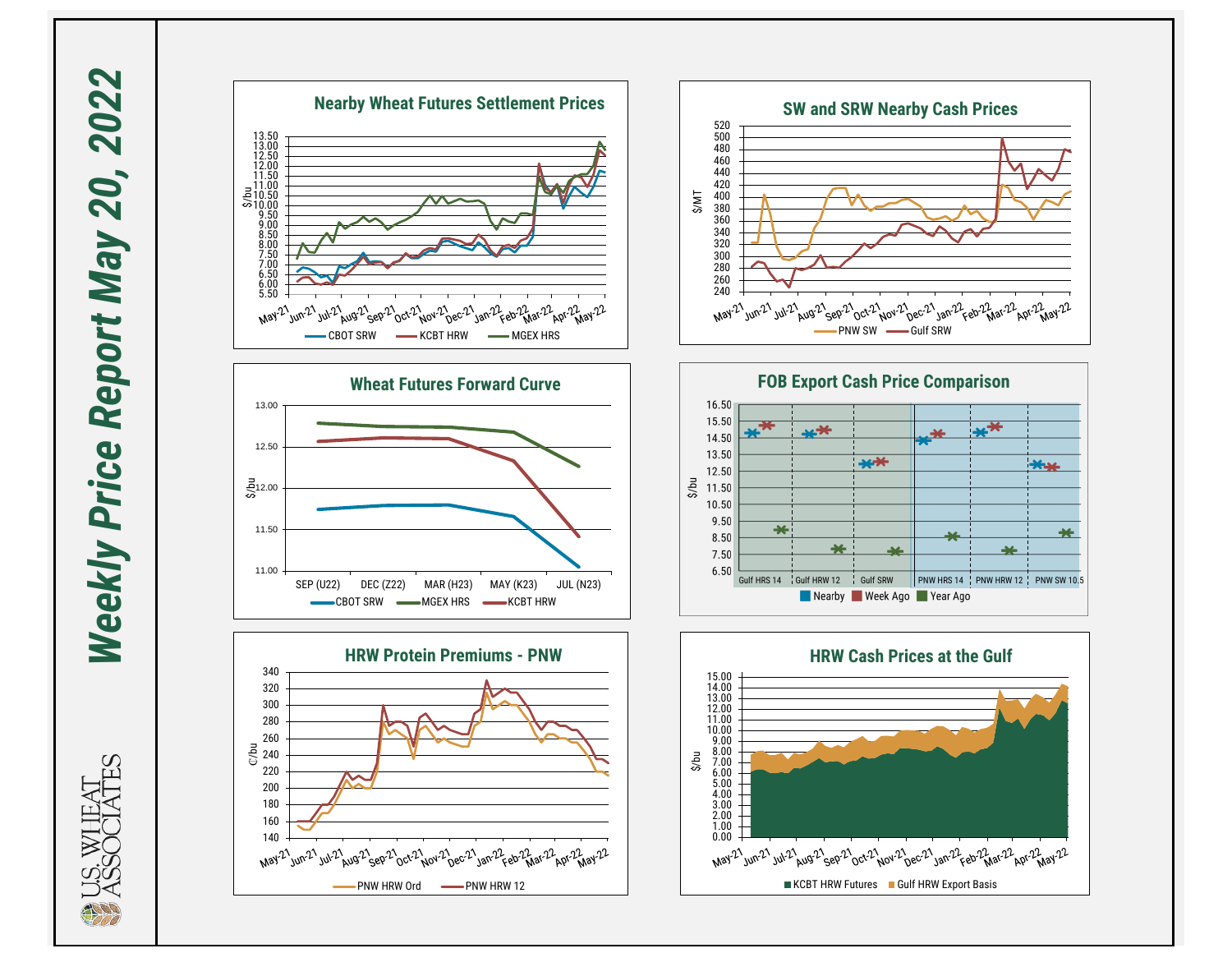Weekly Price Report May 20, 2022 *Weekly Price Report May 20, 2022*